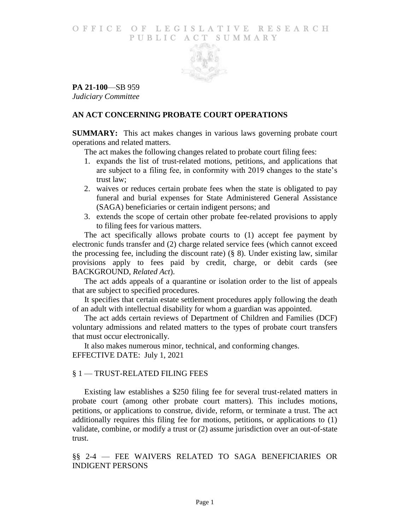#### O F FICE OF LEGISLATIVE RESEARCH PUBLIC ACT SUMMARY



**PA 21-100**—SB 959 *Judiciary Committee*

## **AN ACT CONCERNING PROBATE COURT OPERATIONS**

**SUMMARY:** This act makes changes in various laws governing probate court operations and related matters.

The act makes the following changes related to probate court filing fees:

- 1. expands the list of trust-related motions, petitions, and applications that are subject to a filing fee, in conformity with 2019 changes to the state's trust law;
- 2. waives or reduces certain probate fees when the state is obligated to pay funeral and burial expenses for State Administered General Assistance (SAGA) beneficiaries or certain indigent persons; and
- 3. extends the scope of certain other probate fee-related provisions to apply to filing fees for various matters.

The act specifically allows probate courts to (1) accept fee payment by electronic funds transfer and (2) charge related service fees (which cannot exceed the processing fee, including the discount rate) (§ 8). Under existing law, similar provisions apply to fees paid by credit, charge, or debit cards (see BACKGROUND, *Related Act*).

The act adds appeals of a quarantine or isolation order to the list of appeals that are subject to specified procedures.

It specifies that certain estate settlement procedures apply following the death of an adult with intellectual disability for whom a guardian was appointed.

The act adds certain reviews of Department of Children and Families (DCF) voluntary admissions and related matters to the types of probate court transfers that must occur electronically.

It also makes numerous minor, technical, and conforming changes. EFFECTIVE DATE: July 1, 2021

## § 1 — TRUST-RELATED FILING FEES

Existing law establishes a \$250 filing fee for several trust-related matters in probate court (among other probate court matters). This includes motions, petitions, or applications to construe, divide, reform, or terminate a trust. The act additionally requires this filing fee for motions, petitions, or applications to (1) validate, combine, or modify a trust or (2) assume jurisdiction over an out-of-state trust.

§§ 2-4 — FEE WAIVERS RELATED TO SAGA BENEFICIARIES OR INDIGENT PERSONS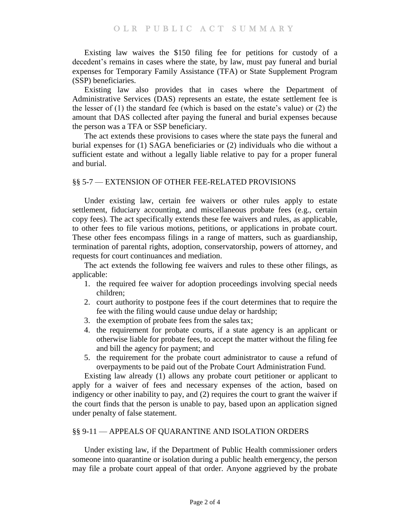Existing law waives the \$150 filing fee for petitions for custody of a decedent's remains in cases where the state, by law, must pay funeral and burial expenses for Temporary Family Assistance (TFA) or State Supplement Program (SSP) beneficiaries.

Existing law also provides that in cases where the Department of Administrative Services (DAS) represents an estate, the estate settlement fee is the lesser of (1) the standard fee (which is based on the estate's value) or (2) the amount that DAS collected after paying the funeral and burial expenses because the person was a TFA or SSP beneficiary.

The act extends these provisions to cases where the state pays the funeral and burial expenses for (1) SAGA beneficiaries or (2) individuals who die without a sufficient estate and without a legally liable relative to pay for a proper funeral and burial.

## §§ 5-7 — EXTENSION OF OTHER FEE-RELATED PROVISIONS

Under existing law, certain fee waivers or other rules apply to estate settlement, fiduciary accounting, and miscellaneous probate fees (e.g., certain copy fees). The act specifically extends these fee waivers and rules, as applicable, to other fees to file various motions, petitions, or applications in probate court. These other fees encompass filings in a range of matters, such as guardianship, termination of parental rights, adoption, conservatorship, powers of attorney, and requests for court continuances and mediation.

The act extends the following fee waivers and rules to these other filings, as applicable:

- 1. the required fee waiver for adoption proceedings involving special needs children;
- 2. court authority to postpone fees if the court determines that to require the fee with the filing would cause undue delay or hardship;
- 3. the exemption of probate fees from the sales tax;
- 4. the requirement for probate courts, if a state agency is an applicant or otherwise liable for probate fees, to accept the matter without the filing fee and bill the agency for payment; and
- 5. the requirement for the probate court administrator to cause a refund of overpayments to be paid out of the Probate Court Administration Fund.

Existing law already (1) allows any probate court petitioner or applicant to apply for a waiver of fees and necessary expenses of the action, based on indigency or other inability to pay, and (2) requires the court to grant the waiver if the court finds that the person is unable to pay, based upon an application signed under penalty of false statement.

## §§ 9-11 — APPEALS OF QUARANTINE AND ISOLATION ORDERS

Under existing law, if the Department of Public Health commissioner orders someone into quarantine or isolation during a public health emergency, the person may file a probate court appeal of that order. Anyone aggrieved by the probate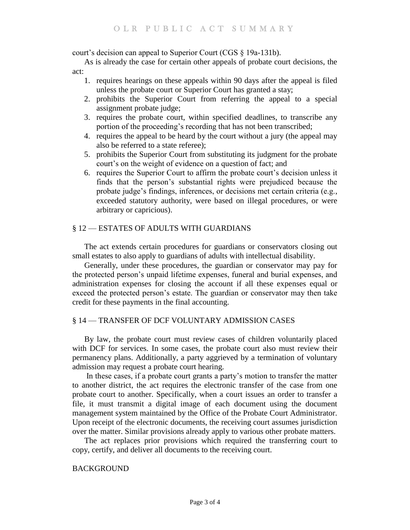court's decision can appeal to Superior Court (CGS § 19a-131b).

As is already the case for certain other appeals of probate court decisions, the act:

- 1. requires hearings on these appeals within 90 days after the appeal is filed unless the probate court or Superior Court has granted a stay;
- 2. prohibits the Superior Court from referring the appeal to a special assignment probate judge;
- 3. requires the probate court, within specified deadlines, to transcribe any portion of the proceeding's recording that has not been transcribed;
- 4. requires the appeal to be heard by the court without a jury (the appeal may also be referred to a state referee);
- 5. prohibits the Superior Court from substituting its judgment for the probate court's on the weight of evidence on a question of fact; and
- 6. requires the Superior Court to affirm the probate court's decision unless it finds that the person's substantial rights were prejudiced because the probate judge's findings, inferences, or decisions met certain criteria (e.g., exceeded statutory authority, were based on illegal procedures, or were arbitrary or capricious).

## § 12 — ESTATES OF ADULTS WITH GUARDIANS

The act extends certain procedures for guardians or conservators closing out small estates to also apply to guardians of adults with intellectual disability.

Generally, under these procedures, the guardian or conservator may pay for the protected person's unpaid lifetime expenses, funeral and burial expenses, and administration expenses for closing the account if all these expenses equal or exceed the protected person's estate. The guardian or conservator may then take credit for these payments in the final accounting.

#### § 14 — TRANSFER OF DCF VOLUNTARY ADMISSION CASES

By law, the probate court must review cases of children voluntarily placed with DCF for services. In some cases, the probate court also must review their permanency plans. Additionally, a party aggrieved by a termination of voluntary admission may request a probate court hearing.

In these cases, if a probate court grants a party's motion to transfer the matter to another district, the act requires the electronic transfer of the case from one probate court to another. Specifically, when a court issues an order to transfer a file, it must transmit a digital image of each document using the document management system maintained by the Office of the Probate Court Administrator. Upon receipt of the electronic documents, the receiving court assumes jurisdiction over the matter. Similar provisions already apply to various other probate matters.

The act replaces prior provisions which required the transferring court to copy, certify, and deliver all documents to the receiving court.

#### BACKGROUND